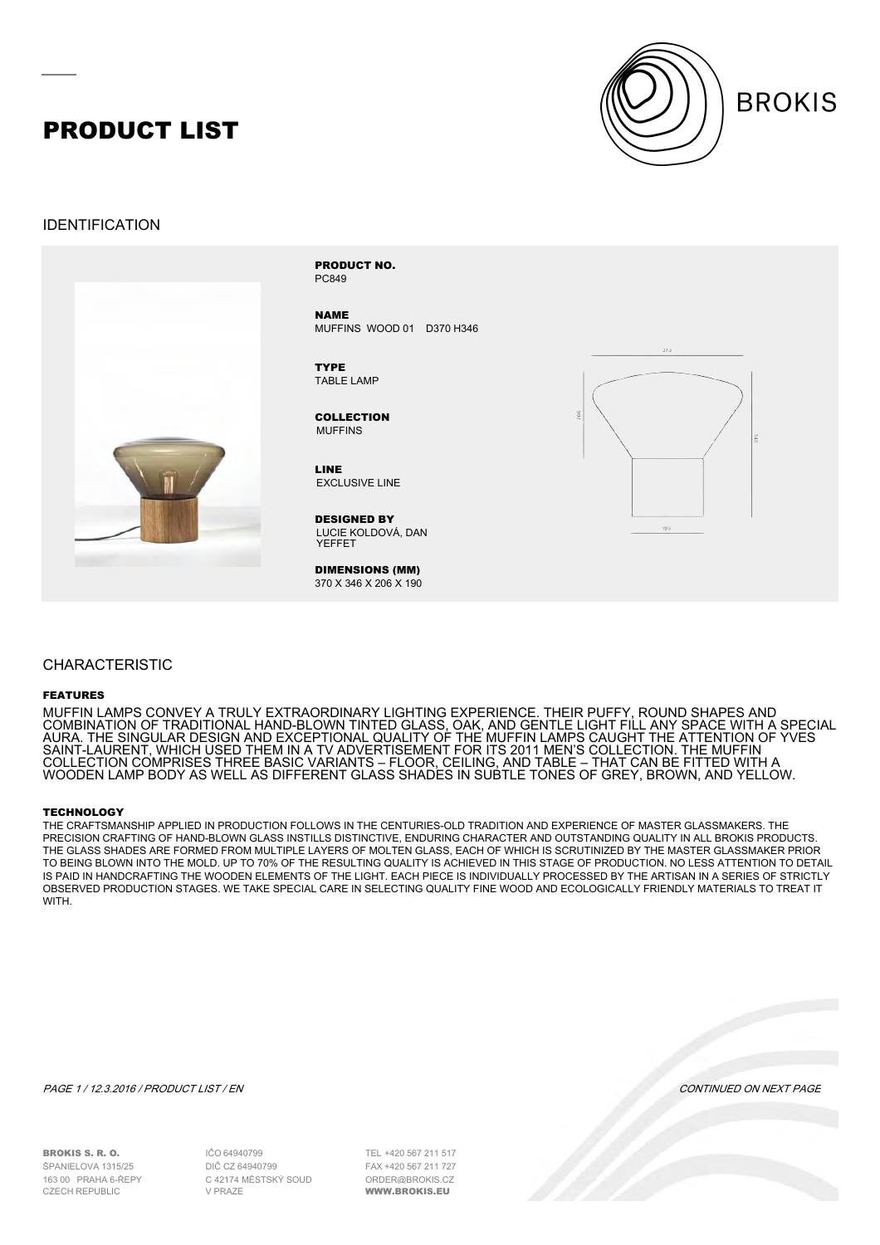## PRODUCT LIST



### IDENTIFICATION



PC849 PRODUCT NO.

NAME MUFFINS WOOD 01 D370 H346

TABLE LAMP **TYPE** 

MUFFINS COLLECTION

EXCLUSIVE LINE LINE

LUCIE KOLDOVÁ, DAN YEFFET DESIGNED BY

DIMENSIONS (MM) 370 X 346 X 206 X 190



### CHARACTERISTIC

#### FEATURES

MUFFIN LAMPS CONVEY A TRULY EXTRAORDINARY LIGHTING EXPERIENCE. THEIR PUFFY, ROUND SHAPES AND COMBINATION OF TRADITIONAL HAND-BLOWN TINTED GLASS, OAK, AND GENTLE LIGHT FILL ANY SPACE WITH A SPECIAL AURA. THE SINGULAR DESIGN AND EXCEPTIONAL QUALITY OF THE MUFFIN LAMPS CAUGHT THE ATTENTION OF YVES SAINT-LAURENT, WHICH USED THEM IN A TV ADVERTISEMENT FOR ITS 2011 MEN'S COLLECTION. THE MUFFIN COLLECTION COMPRISES THREE BASIC VARIANTS – FLOOR, CEILING, AND TABLE – THAT CAN BE FITTED WITH A WOODEN LAMP BODY AS WELL AS DIFFERENT GLASS SHADES IN SUBTLE TONES OF GREY, BROWN, AND YELLOW.

#### **TECHNOLOGY**

THE CRAFTSMANSHIP APPLIED IN PRODUCTION FOLLOWS IN THE CENTURIES-OLD TRADITION AND EXPERIENCE OF MASTER GLASSMAKERS. THE PRECISION CRAFTING OF HAND-BLOWN GLASS INSTILLS DISTINCTIVE, ENDURING CHARACTER AND OUTSTANDING QUALITY IN ALL BROKIS PRODUCTS. THE GLASS SHADES ARE FORMED FROM MULTIPLE LAYERS OF MOLTEN GLASS, EACH OF WHICH IS SCRUTINIZED BY THE MASTER GLASSMAKER PRIOR TO BEING BLOWN INTO THE MOLD. UP TO 70% OF THE RESULTING QUALITY IS ACHIEVED IN THIS STAGE OF PRODUCTION. NO LESS ATTENTION TO DETAIL IS PAID IN HANDCRAFTING THE WOODEN ELEMENTS OF THE LIGHT. EACH PIECE IS INDIVIDUALLY PROCESSED BY THE ARTISAN IN A SERIES OF STRICTLY OBSERVED PRODUCTION STAGES. WE TAKE SPECIAL CARE IN SELECTING QUALITY FINE WOOD AND ECOLOGICALLY FRIENDLY MATERIALS TO TREAT IT **WITH** 

PAGE 1 / 12.3.2016 / PRODUCT LIST / EN CONTINUED ON NEXT PAGE

BROKIS S. R. O. ŠPANIELOVA 1315/25 163 00 PRAHA 6-ŘEPY

64940799 IČO DIČ CZ 64940799 C 42174 MĚSTSKÝ SOUD V PRAZE

+420 567 211 517 TEL +420 567 211 727 FAXORDER@BROKIS.CZ WWW.BROKIS.EU